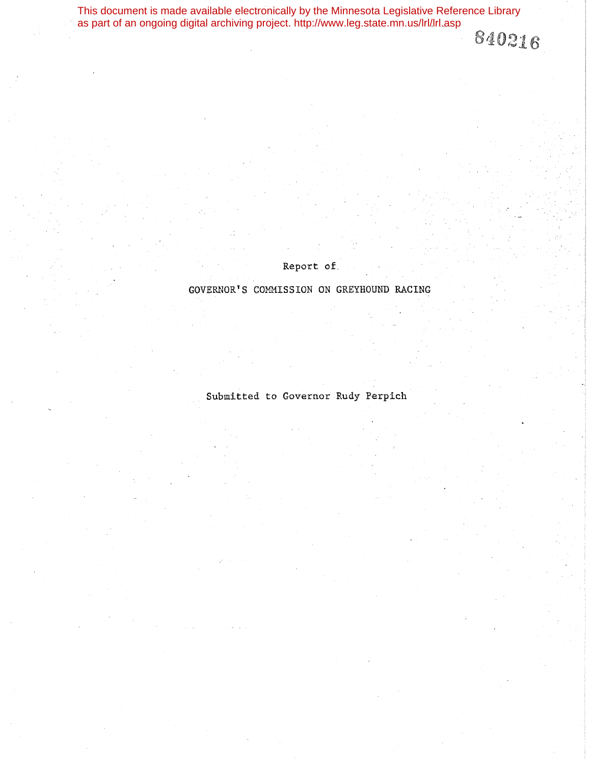This document is made available electronically by the Minnesota Legislative Reference Library as part of an ongoing digital archiving project. http://www.leg.state.mn.us/lrl/lrl.asp840216

Report of

GOVERNOR'S COMMISSION ON GREYHOUND RACING

Submitted to Governor Rudy Perpich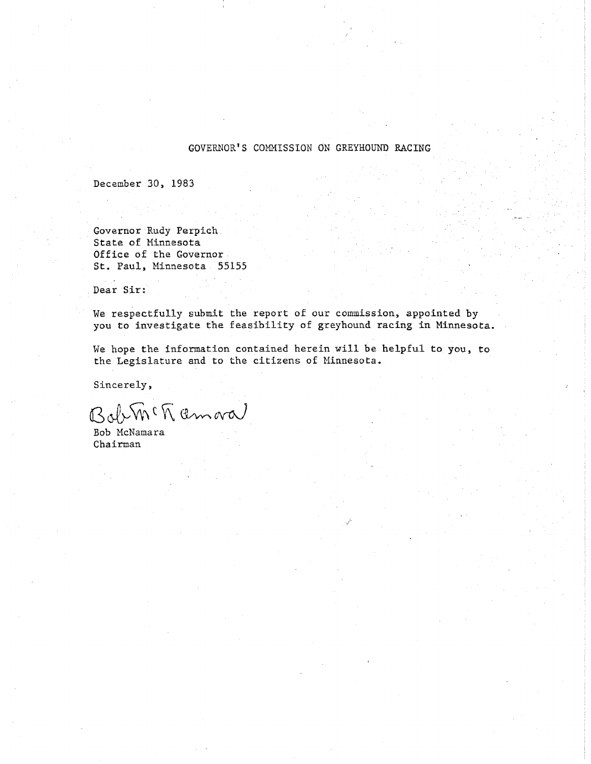#### GOVERNOR'S COMMISSION ON GREYHOUND RACING

December 30, 1983

Governor Rudy Perpich. State of Minnesota Office of the Governor St. Paul, Minnesota. 55155

Dear Sir:

 $\sim$  .

We respectfully submit the report of our commission, appointed by you to investigate the feasibility of greyhound racing in Minnesota.

We hope the information contained herein will be helpful to you, to the Legislature and to the citizens of Minnesota.

Sincerely,

 $B_{\alpha}$   $\psi$  m  $\eta$  am ral

Bob McNamara Chairman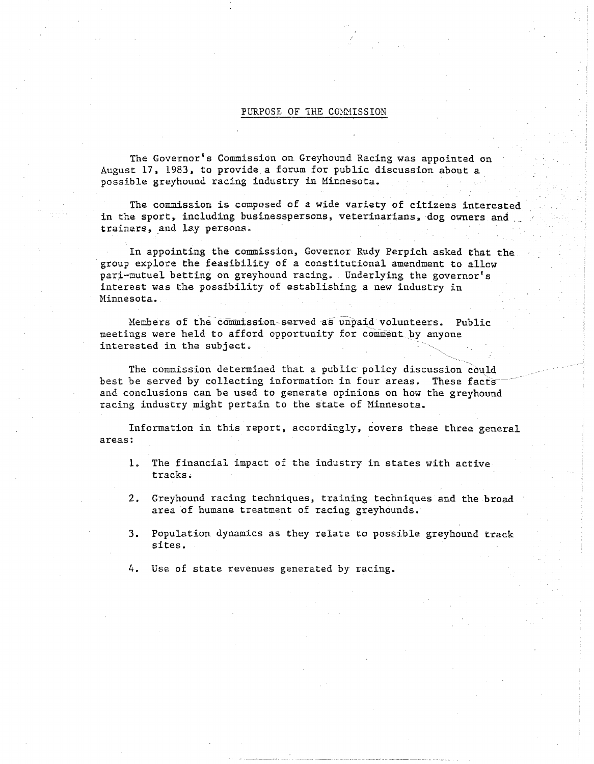#### PURPOSE OF THE COMMISSION

The Governor's Commission on Greyhound Racing was appointed on August 17, 1983., to provide a forum for public discussion about a possible greyhound racing industry in Minnesota ..

The commission is composed of a wide variety of citizens interested in the sport, including businesspersons, veterinarians, dog owners and trainers, and lay persons.

In appointing the commission, Governor Rudy Perpich asked that the group explore the feasibility of a constitutional amendment to allow pari-mutuel betting on greyhound racing. Underlying the governor's interest was the possibility of establishing a new industry in Minnesota.

Members of the commission-served as unpaid volunteers. Public meetings were held to afford opportunity for comment by anyone meetings were held to afford opportunity for comment by any<br>interested in the subject.  $\left\langle \frac{1}{2} \right\rangle$ 

The commission determined that a public policy discussion could best be served by collecting information in four areas. These facts and conclusions can be used to generate opinions on how the greyhound racing industry might pertain to the state of Minnesota.

Information in this report, accordingly, covers these three general areas:

- 1. The financial impact of the industry in states with active tracks.
- 2. Greyhound racing techniques, training techniques and the broad area of humane treatment of racing greyhounds.
- 3. Population dynamics as they relate to possible greyhound track sites.
- 4. Use of state revenues generated by racing.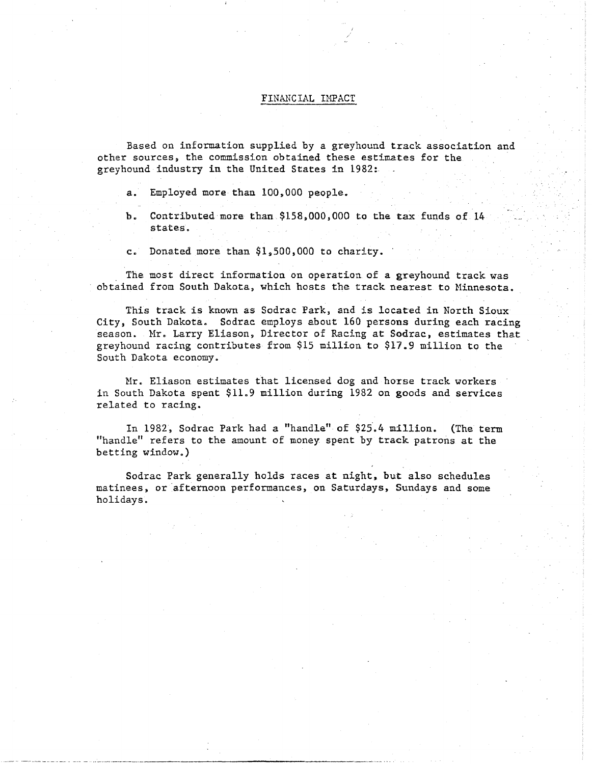#### FINANCIAL IMPACT

Based on information supplied by a greyhound track association and other sources, the commission obtained these estimates for the greyhound industry in the United States in 1982:

- a. Employed more than 100,000 people.
- b. Contributed more than  $$158,000,000$  to the tax funds of 14 states.
- c. Donated more than \$1,500,000 to charity.

The most direct information on operation of a greyhound track was obtained from South Dakota, which hosts the track nearest to Minnesota.

This track is known as Sodrac Park, and is located in North Sioux City, South Dakota. Sodrac employs about 160 persons during each racing season. Mr. Larry Eliason, Director of Racing at Sodrac, estimates that greyhound racing contributes from \$15 million to \$17.9 million to the South Dakota economy.

Mr. Eliason estimates that licensed dog and horse track workers in South Dakota spent \$11.9 million during 1982 on goods and services related to racing.

In 1982, Sodrac Park had a "handle" of \$25.4 million. (The term "handle" refers to the amount of money spent by track patrons at the  $b$ etting window.)

Sodrac Park generally holds races at night, but also schedules matinees, or afternoon performances, on Saturdays, Sundays and some holidays.

----· --------------. ·--- -- ----·-·-------~--------------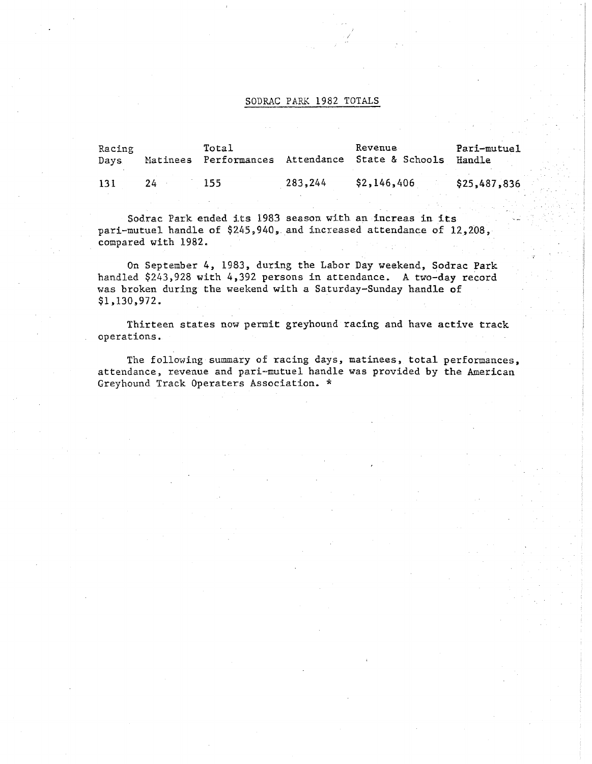#### SODRAC PARK 1982 TOTALS

| Racing<br>Days |    | Total |         | Revenue<br>Matinees Performances Attendance State & Schools | Pari-mutuel<br>Handle |
|----------------|----|-------|---------|-------------------------------------------------------------|-----------------------|
| 131            | 24 | 155   | 283,244 | \$2,146,406                                                 | \$25,487,836          |

Sodrac Park ended its 1983 season with an increas in its pari-mutuel handle of \$245,940, and increased attendance of 12,208, compared with 1982.

On September 4, 1983, during the Labor Day weekend, Sodrac Park handled \$243,928 with 4,392 persons in attendance. A two-day record was broken during the weekend with a Saturday-Sunday handle of \$1,130,972.

Thirteen states now permit greyhound racing and have active track operations.

The following summary of racing days, matinees, total performances, attendance, revenue and pari-mutuel handle was provided by the American Greyhound Track Operaters Association.\*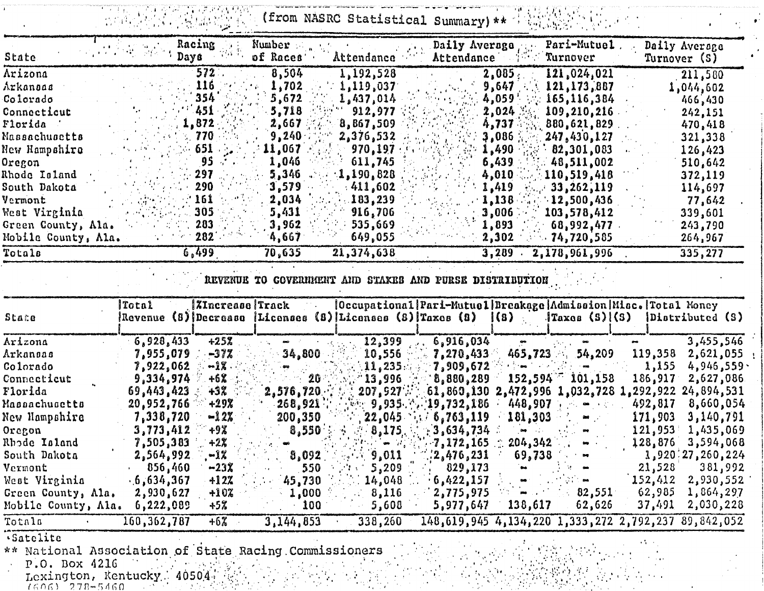(from NASRC Statistical Summary) \*\* Weblatten 

| State               | Days        | Racing                 | Number<br>of Races'                                   | Attendance               | Daily Average<br>Attendance                                                                                                                                                                                 | Pari-Mutuel.<br>Turnover        | Daily Average<br>Turnover (S)                                  |
|---------------------|-------------|------------------------|-------------------------------------------------------|--------------------------|-------------------------------------------------------------------------------------------------------------------------------------------------------------------------------------------------------------|---------------------------------|----------------------------------------------------------------|
| Arizona             |             | 572                    | 8,504                                                 | 1,192,528                | 2,085,                                                                                                                                                                                                      | 121,024,021                     | 211,580                                                        |
| Arkanoas            |             | 116                    | 1,702                                                 | 1, 119, 037              | 9,647                                                                                                                                                                                                       | 121,173,887                     | 1,044,602                                                      |
| Colorado            |             | 354                    | 5,672                                                 | 1,437,014                | 4,059                                                                                                                                                                                                       | 165,116,384                     | 466,430                                                        |
| Connecticut         |             | 451                    | 5,718                                                 | 912,977                  | 2,024                                                                                                                                                                                                       | 109,210,216                     | 242,151                                                        |
| Florida             |             | 1,872                  | 2,667                                                 | 8,867,509                | 4,737                                                                                                                                                                                                       | 880,621,829                     | 470,418                                                        |
| Massachusetts       |             | 770                    | 9,240                                                 | 2,376,532                | 3,086                                                                                                                                                                                                       | 247,430,127                     | 321,338                                                        |
| New Hampshire       |             | 651                    | 11,067                                                | 970,197                  | 1,490                                                                                                                                                                                                       | .82,301,083                     | 126,423                                                        |
| Oregon              |             | 95                     | 1,046                                                 | 611,745                  | 6,439                                                                                                                                                                                                       | 48,511,002                      | 510,642                                                        |
| <b>Rhode Island</b> |             | 297                    | 5,346                                                 | 1,190,828                | 4,010                                                                                                                                                                                                       | 110,519,418                     | 372,119                                                        |
| South Dakota        |             | 290                    | 3,579                                                 | 411,602                  | 1,419                                                                                                                                                                                                       | 33,262,119                      | 114,697                                                        |
| Vermont             |             | 161                    | 2,034                                                 | 103, 239                 | 1,138                                                                                                                                                                                                       | .12,500,436                     | 77,642                                                         |
| West Virginia       |             | 305                    | 5,431                                                 | 916,706                  | 3,006                                                                                                                                                                                                       | 103,578,412                     | 339,601                                                        |
| Green County, Ala.  |             | 283                    | 3,962                                                 | 535,669                  | 1,893                                                                                                                                                                                                       | 68,992,477                      | 243,790                                                        |
| Mobile County, Ala. |             | 282                    | 4,667                                                 | 649,055                  | 2,302                                                                                                                                                                                                       | 74,720,585                      | 264,967                                                        |
| Totals              |             | 6,499                  | 70,635                                                | 21,374,638               | 3,289                                                                                                                                                                                                       | 2,178,961,996                   | 335, 277                                                       |
| State               | Total       | <i>XIncrease Track</i> |                                                       |                          | REVENUE TO GOVERNMENT AND STAKES AND PURSE DISTRIBUTION<br> Occupational Pari-Mutuel Breakage Admission Misc.  Total Money<br>Revenue (8) Decrease   Licenses (8)   Licenses (8)   Taxes (8)<br>$\vert$ (8) | $\frac{1}{2}$ (S) $\frac{1}{3}$ | Distributed (S)                                                |
| Arizona             | 6,928,433   | $+25%$                 |                                                       | 12,399                   | 6,916,034                                                                                                                                                                                                   |                                 | 3,455,546                                                      |
| Arkanoas            | 7,955,079   | $-37%$                 | 34,800                                                | 10,556                   | 7,270,433                                                                                                                                                                                                   | 465,723<br>54,209               | 119,358<br>2,621,055                                           |
| Colorado            | 7,922,062   | -1%                    |                                                       | 11,235.                  | 7,909,672                                                                                                                                                                                                   |                                 | 1,155<br>4,946,559.                                            |
| Connecticut         | 9,334,974   | $+6\%$                 | $20^{\circ}$                                          | 13,996                   | 8,880,289                                                                                                                                                                                                   | 152,594<br>101,158              | 186, 917<br>2,627,086                                          |
| Florida             | 69,443,423  | $+3\%$                 | 2,576,720                                             | 207, 927                 |                                                                                                                                                                                                             |                                 | $61,860,130$ $2,472,996$ $1,032,728$ $1,292,922$ $24,894,531$  |
| Massachusetts       | 20,952,766  | $+29X$                 | 268,921                                               | 9,935.                   | 19,732,186                                                                                                                                                                                                  | 448,907                         | 492,817<br>8,660,054                                           |
| New Hampshire       | 7,338,720   | $-12\%$                | 200,350                                               | 22,045                   | 6,763,119                                                                                                                                                                                                   | 181,303                         | 3,140,791<br>171,903                                           |
| Oregon              | 3,773,412   | +9%                    | 8,550                                                 | 8,175.                   | : 3,634,734                                                                                                                                                                                                 | $\mathbf{m}$<br>$-1.11 - 1.0$   | 121,953<br>1,435,069                                           |
| Rhode Island        | 7,505,383   | +2%                    |                                                       |                          | 7,172,165                                                                                                                                                                                                   | 204,342                         | 128,876<br>3,594,068                                           |
| South Dakota        | 2,564,992   | -1%                    | 0,092                                                 | 9,011                    | :2,476,231                                                                                                                                                                                                  | 69,738                          | 3,920/27,260,224                                               |
| Vermont             | 056,460     | $-23x$                 | 550                                                   | 5,209<br><b>ALCOHOL:</b> | $\frac{1}{2}$ 829,173                                                                                                                                                                                       |                                 | 381,992<br>21,528                                              |
| West Virginia       | .6,634,367  | $+12%$                 | 45,730                                                | 14,048                   | .6,422,157                                                                                                                                                                                                  |                                 | $152,412$ $2,930,552$                                          |
| Green County, Ala.  | 2,930,627   | +10%                   | 1,000                                                 | 8,116                    | 12,775,975                                                                                                                                                                                                  | 82,551<br>m                     | 62,985<br>1,864,297                                            |
| Mobile County, Ala. | 6,222,089   | +5%                    | 100                                                   | 5,608                    | 5,977,647                                                                                                                                                                                                   | 138,617<br>62,626               | 37,491<br>2,030,228                                            |
| Totals              | 160,362,787 | +6%                    | 3,144,853                                             | 338,260                  |                                                                                                                                                                                                             |                                 | 148, 619, 945 4, 134, 220 1, 333, 272 2, 792, 237 89, 842, 052 |
| .Satelite           |             |                        | xx Notional Addoctation of State Dacing Commissioners |                          |                                                                                                                                                                                                             | Contract of the Contract of     | $\mathcal{F}(\mathcal{F})$ , $\mathcal{F}(\mathcal{F})$        |

National Association of Sta-<br>P.O. Box 4216<br>Lexington, Kentucky 40504: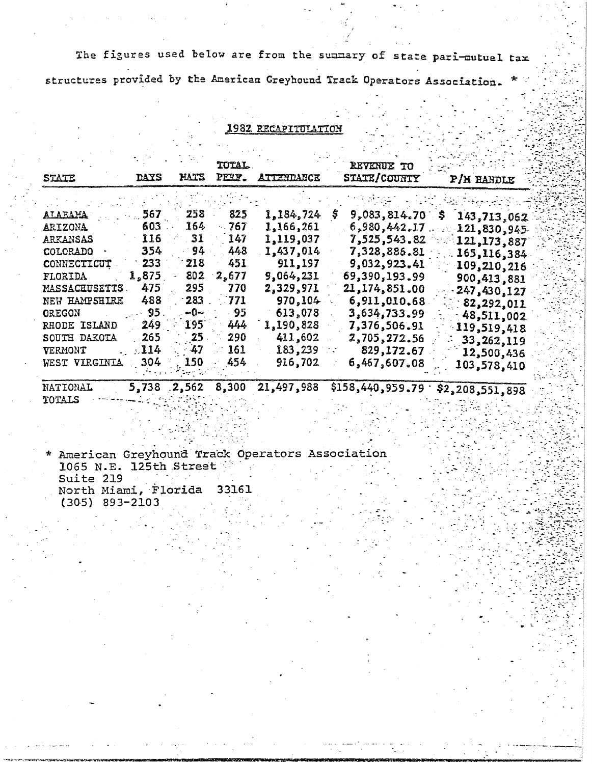The figures used below are from the summary of state pari-mutuel tax

structures provided by the American Greyhound Track Operators Association.

### 1982 RECAPITULATION

| <b>STATE</b>           | <b>DAYS</b> | hats  | TOTAL<br>PE2F. | <b>ATTESDANCE</b> | REVENUE TO<br><b>STATE/COUNTY</b> | P/H HANDLE                    |
|------------------------|-------------|-------|----------------|-------------------|-----------------------------------|-------------------------------|
|                        |             |       |                |                   |                                   |                               |
| <u>ALARAMA</u>         | 567         | 258   | 825            | 1,184,724         | 9,083,814.70                      | 143,713,062                   |
| <u>ARIZONA</u>         | 603.        | 164   | 767            | 1,166,261         | 6,980,442.17                      | 121,830,945                   |
| arkansas               | 116         | 31    | 147            | 1,119,037         | 7,525,543.82                      | 121, 173, 887                 |
| COLORADO               | 354         | 94    | 448            | 1,437,014         | 7,328,886.81                      | 165,116,384                   |
| CONNECTICUT            | 233         | 218   | 451            | 911,197           | 9,032,923.41                      | 109,210,216                   |
| FLORIDA                | 1,875       | 802   | 2,677          | 9,064,231         | 69,390,193.99                     | 900,413,881                   |
| <u>MASSACHUSETTS .</u> | 475         | 295   | 770            | 2,329,971         | 21,174,851.00                     | 247,430,127                   |
| NEW HAMPSHIRE          | 488         | 283   | 771            | 970,104           | 6,911,010.68                      | 82,292,011                    |
| OREGON                 | 95.         | տ0⊸   | 95             | 613,078           | 3,634,733.99                      | 48,511,002                    |
| RHODE ISLAND           | 249.        | 195   | 444            | 1,190,828         | 7,376,506.91                      | 119,519,418                   |
| SOUTH DAKOTA           | 265         | 25    | 290            | 411,602           | 2,705,272.56                      | 33,262,119                    |
| VERMONT                | 114         | 47    | 161            | 183,239           | 829, 172.67                       | 12,500,436                    |
| WEST VIRGINIA          | 304.        | 150   | 454            | 916,702           | 6,467,607.08                      | 103,578,410                   |
| NATIONAL               | 5.738       | 2.562 | 8,300          | 21.497.988        |                                   | $$158.440.959.79 \cdot $2.29$ |

TOTALS

\* American Greyhound Track Operators Association 1065 N.E. 125th Street Suite 219 North Miami, Florida 33161  $(305)$  893-2103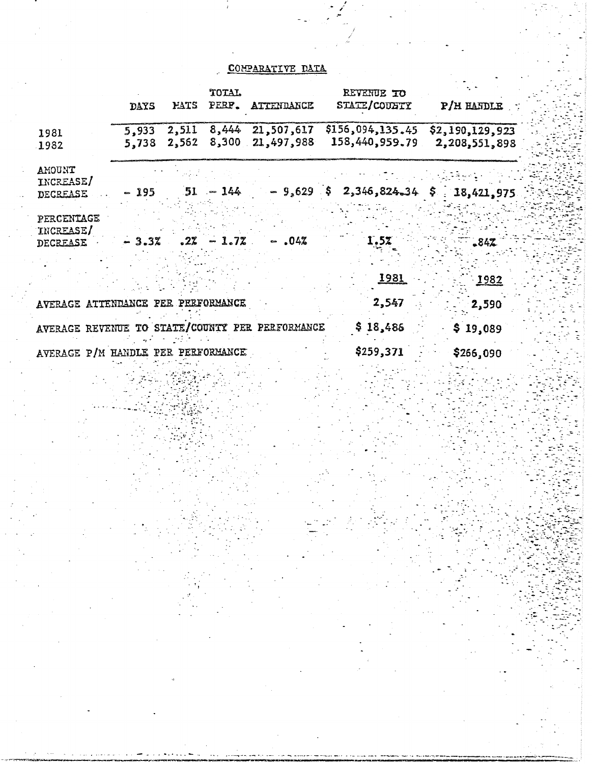## COMPARATIVE DATA

|                                                 | DAYS           | MATS           | TOTAL<br>PERP. | ATTENDANCE                     | REVENUE TO<br>STATE/COUNTY             | $P/H$ HANDLE                     |
|-------------------------------------------------|----------------|----------------|----------------|--------------------------------|----------------------------------------|----------------------------------|
| 1981<br>1982                                    | 5,933<br>5,738 | 2,511<br>2,562 | 8,300          | 8,444 21,507,617<br>21,497,988 | \$156, 094, 135, 45<br>158,440,959.79  | \$2,190,129,923<br>2,208,551,898 |
| AMOUNT<br>INCREASE/<br>DECREASE                 | - 195          |                | $51 - 144$     |                                | $-9,629$ \$ 2,346,824.34 \$ 18,421,975 |                                  |
| PERCENTAGE<br>INCREASE/<br><b>DECREASE</b>      | $-3.32$        | .2%            | 1.72           | $-$ .04%                       | 1.52                                   | $-842$                           |
|                                                 |                |                |                |                                | <u> 1981 </u>                          | 1982                             |
| AVERAGE ATTENDANCE PER PERFORMANCE              |                |                |                |                                | 2,547                                  | 2,590                            |
| AVERAGE REVENUE TO STATE/COUNTY PER PERFORMANCE |                |                |                |                                | \$18,486                               | \$19,089                         |
| AVERAGE P/M HANDLE PER PERFORMANCE              |                |                |                |                                | \$259,371                              | \$266,090                        |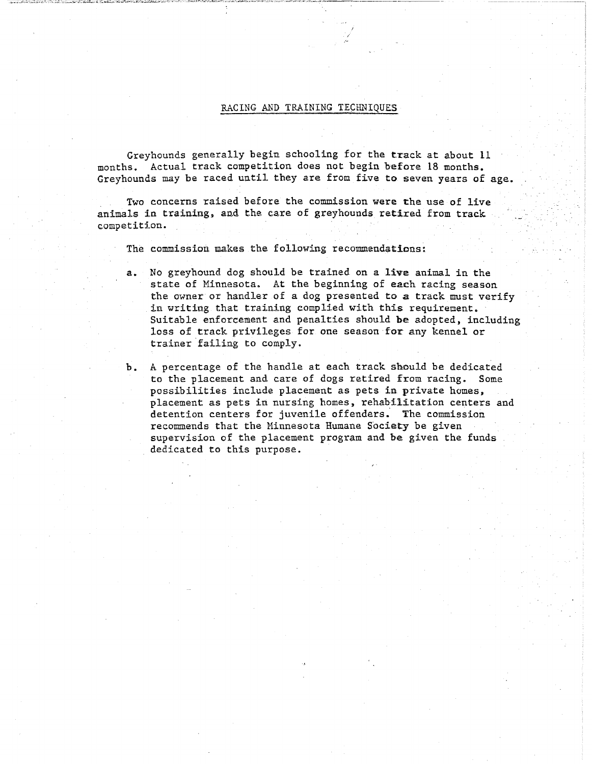#### RACING AND TRAINING TECHNIQUES

 $\cdot$  / ,,\_

Greyhounds generally begin schooling for the track at about 11 months. Actual track competition does not begin hefore 18 months. Greyhounds may be raced until they are from five to seven years of age.

Two concerns raised before the commission were the use of live animals in training, and the care of greyhounds retired from track competition.

The commission makes the following recommendations:

- a. No greyhound dog should be trained on a live animal in the state of Minnesota. At the beginning of each racing season the owner or handler of a dog presented to a track must verify in writing that training complied with this requirement. Suitable enforcement and penalties should be adopted, including loss of track privileges for one season for any kennel or trainer failing to comply.
- b. A percentage of the handle at each track should be dedicated to the placement and care of dogs retired from racing., Some possibilities include placement as pets in private homes, placement as pets in nursing homes, rehabilitation centers and detention centers for juvenile offenders." The commission recommends that the Minnesota Humane Society be given supervision of the placement program and be given the funds dedicated to this purpose.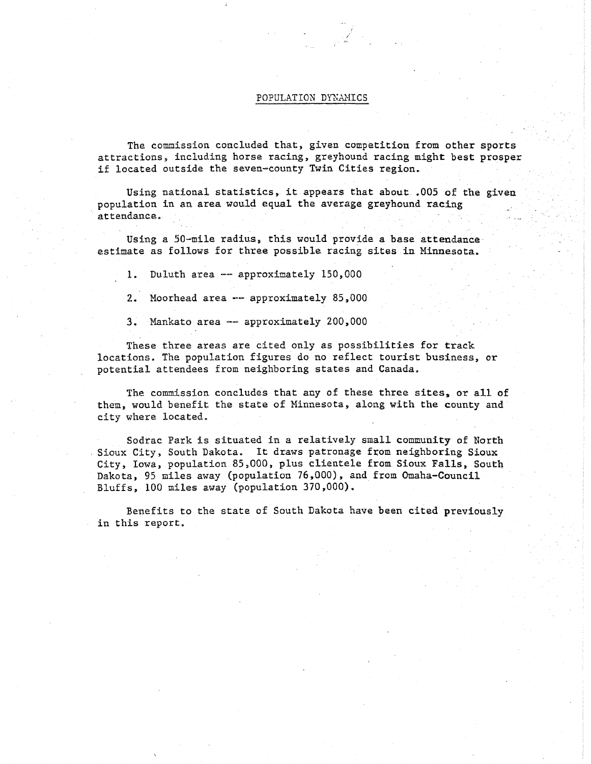#### POPULATION DYNAMICS

/

The commission concluded that, given competition from other sports attractions, including horse racing, greyhound racing might best prosper if located outside the seven-county Twin Cities region.

Using national statistics., it.appears that about .005 of the given population in an area would equal the average greyhound racing attendance.

Using a 50-mile radius, this would provide a base attendance· estimate as follows for three possible racing sites in Minnesota.

1. Duluth area -- approximately 150,000

2. Moorhead area -- approximately 85,000

3. Mankato area -- approximately 200,000

These three areas are cited only as possibilities for track locations. The population figures do no reflect tourist business, or potential attendees from neighboring states and Canada.

The commission concludes that any of these three sites, or all of them, would benefit the state of Minnesota, along with the county and city where located.

Sodrac Park is situated in a relatively small community of North Sioux City, South Dakota. It draws patronage from neighboring Sioux City, Iowa, population 85,000, plus clientele from Sioux Falls, South Dakota, 95 miles away (population 76,000), and from Omaha-Council Bluffs, 100 miles away (population 370,000).

Benefits to the state of South Dakota have been cited previously in this report.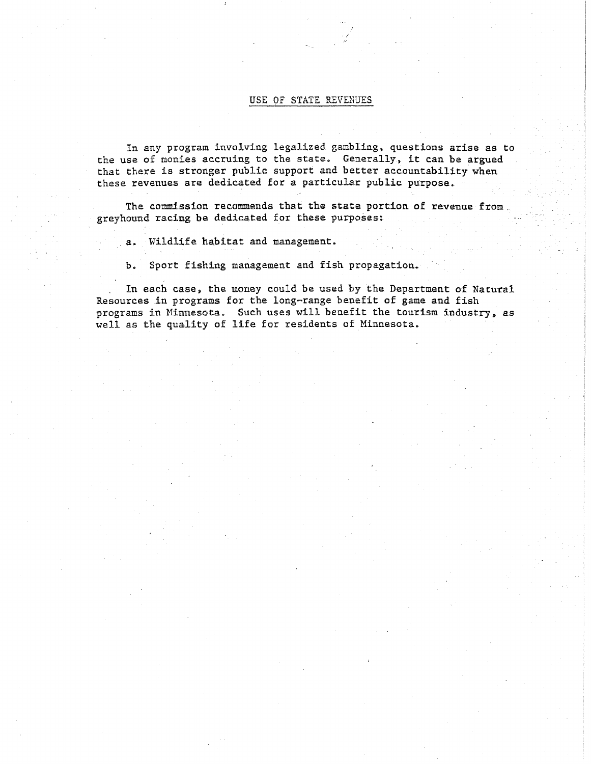#### USE OF STATE REVENUES

*I I 1~* 

In any program involving legalized gambling, questions arise as to the use of monies accruing to the state. Generally, it can be argued that there is stronger public support and better accountability when these revenues are dedicated for a particular public purpose.

The commission recommends that the state portion of revenue from. greyhound racing be dedicated for these purposes: .

. a.. Wildlife habitat and management.

b. Sport fishing management and fish propagation.

. In each case, the money could be used by the Department of Natural Resources in programs for the long=range benefit of game and fish programs in Minnesota. Such uses will benefit the tourism industry, as well as the quality of life for residents of Minnesota.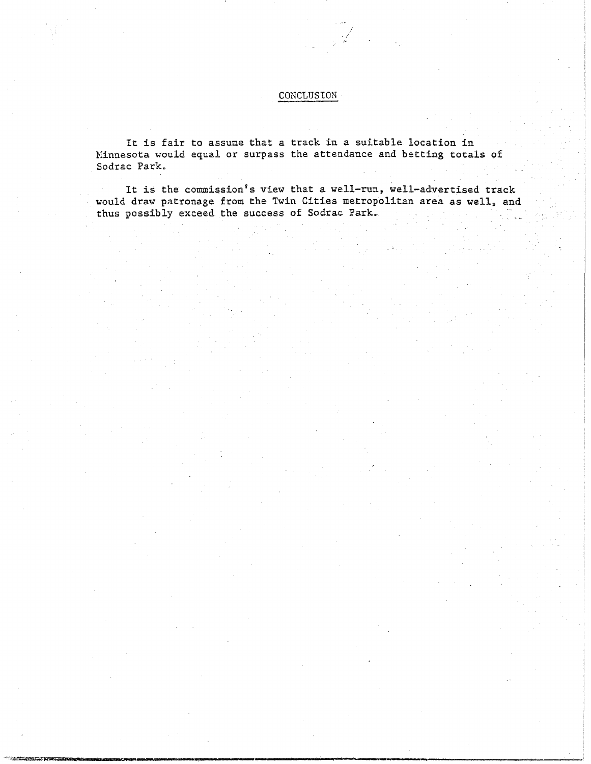## CONCLUSION

*/*  ./ *1~* 

It is fair to assume that a track in a suitable location in Minnesota would equal or surpass the attendance and betting totals of Sodrac Park.

It is the commission's view that a well-run, well-advertised track would draw patronage from the Twin Cities metropolitan area as well, and thus possibly exceed the success of Sodrac Park.

**...,.,..~------Ullillllll \_\_\_\_\_\_\_\_\_\_\_\_\_\_\_\_\_\_\_\_\_\_ .. \_\_\_\_\_\_\_\_\_ \_\_,,....,.\_ \_\_** ~